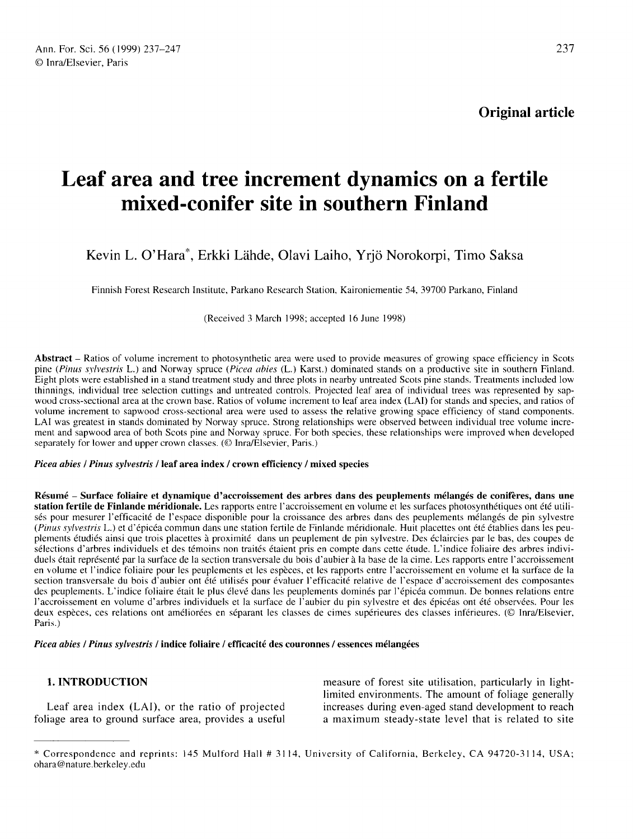Original article

# Leaf area and tree increment dynamics on a fertile mixed-conifer site in southern Finland

# Kevin L. O'Hara\*, Erkki Lähde, Olavi Laiho, Yrjö Norokorpi, Timo Saksa

Finnish Forest Research Institute, Parkano Research Station, Kaironiementie 54, 39700 Parkano, Finland

(Received 3 March 1998; accepted 16 June 1998)

Abstract – Ratios of volume increment to photosynthetic area were used to provide measures of growing space efficiency in Scots pine (Pinus sylvestris L.) and Norway spruce (Picea abies (L.) Karst.) dominated stands on a productive site in southern Finland. Eight plots were established in a stand treatment study and three plots in nearby untreated Scots pine stands. Treatments included low thinnings, individual tree selection cuttings and untreated controls. Projected leaf area of individual trees was represented by sapwood cross-sectional area at the crown base. Ratios of volume increment to leaf area index (LAI) for stands and species, and ratios of volume increment to sapwood cross-sectional area were used to assess the relative growi LAI was greatest in stands dominated by Norway spruce. Strong relationships were observed between individual tree volume increment and sapwood area of both Scots pine and Norway spruce. For both species, these relationships were improved when developed separately for lower and upper crown classes. (© Inra/Elsevier, Paris.)

#### Picea abies / Pinus sylvestris / leaf area index / crown efficiency / mixed species

Résumé - Surface foliaire et dynamique d'accroissement des arbres dans des peuplements mélangés de conifères, dans une station fertile de Finlande méridionale. Les rapports entre l'accroissement en volume et les surfaces photosynthétiques ont été utilisés pour mesurer l'efficacité de l'espace disponible pour la croissance des arbres dans des peuplements mélangés de pin sylvestre (Pinus sylvestris L.) et d'épicéa commun dans une station fertile de Finlande méridionale. Huit placettes ont été établies dans les peuplements étudiés ainsi que trois placettes à proximité dans un peuplement de pin sylvestre. Des éclaircies par le bas, des coupes de sélections d'arbres individuels et des témoins non traités étaient pris en compte dans cette étude. L'indice foliaire des arbres individuels était représenté par la surface de la section transversale du bois d'aubier à la base de la cime. Les rapports entre l'accroissement en volume et l'indice foliaire pour les peuplements et les espèces, et les rapports entre l'accroissement en volume et la surface de la section transversale du bois d'aubier ont été utilisés pour évaluer l'efficacité relative de l'espace d'accroissement des composantes des peuplements. L'indice foliaire était le plus élevé dans les peuplements dominés par l'épicéa commun. De bonnes relations entre l'accroissement en volume d'arbres individuels et la surface de l'aubier du pin sylvestre et des épicéas ont été observées. Pour les deux espèces, ces relations ont améliorées en séparant les classes de cimes supérieures des classes inférieures. (© Inra/Elsevier, Paris.)

Picea abies / Pinus sylvestris / indice foliaire / efficacité des couronnes / essences mélangées

# 1. INTRODUCTION

Leaf area index (LAI), or the ratio of projected foliage area to ground surface area, provides a useful measure of forest site utilisation, particularly in lightlimited environments. The amount of foliage generally increases during even-aged stand development to reach a maximum steady-state level that is related to site

<sup>\*</sup> Correspondence and reprints: 145 Mulford Hall # 3114, University of California, Berkeley, CA 94720-3114, USA; ohara@nature.berkeley.edu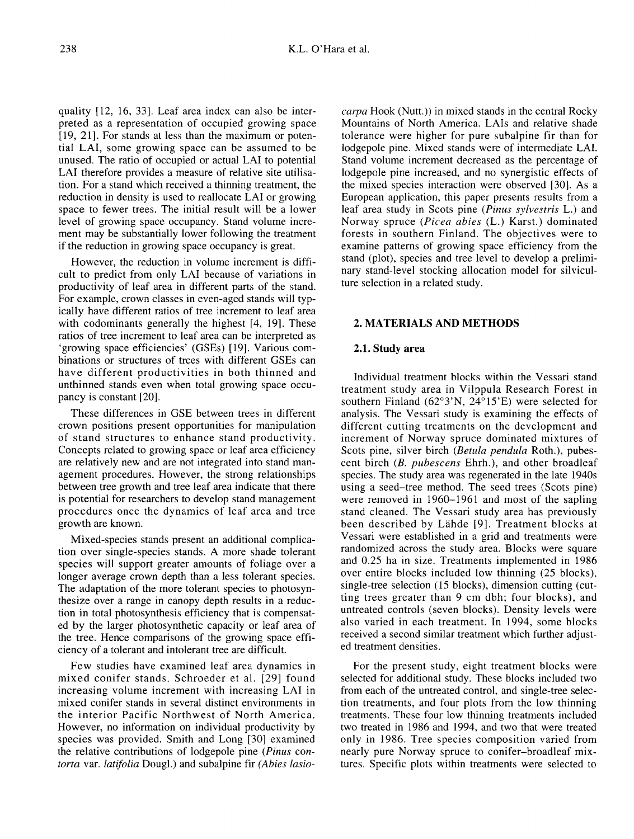quality [12, 16, 33]. Leaf area index can also be interpreted as a representation of occupied growing space [19, 21]. For stands at less than the maximum or potential LAI, some growing space can be assumed to be unused. The ratio of occupied or actual LAI to potential LAI therefore provides a measure of relative site utilisation. For a stand which received a thinning treatment, the reduction in density is used to reallocate LAI or growing space to fewer trees. The initial result will be a lower level of growing space occupancy. Stand volume increment may be substantially lower following the treatment if the reduction in growing space occupancy is great.

However, the reduction in volume increment is difficult to predict from only LAI because of variations in productivity of leaf area in different parts of the stand. For example, crown classes in even-aged stands will typically have different ratios of tree increment to leaf area with codominants generally the highest [4, 19]. These ratios of tree increment to leaf area can be interpreted as 'growing space efficiencies' (GSEs) [19]. Various combinations or structures of trees with different GSEs can have different productivities in both thinned and unthinned stands even when total growing space occupancy is constant [20].

These differences in GSE between trees in different crown positions present opportunities for manipulation of stand structures to enhance stand productivity. Concepts related to growing space or leaf area efficiency are relatively new and are not integrated into stand management procedures. However, the strong relationships between tree growth and tree leaf area indicate that there is potential for researchers to develop stand management procedures once the dynamics of leaf area and tree growth are known.

Mixed-species stands present an additional complication over single-species stands. A more shade tolerant species will support greater amounts of foliage over a longer average crown depth than a less tolerant species. The adaptation of the more tolerant species to photosynthesize over a range in canopy depth results in a reduction in total photosynthesis efficiency that is compensated by the larger photosynthetic capacity or leaf area of the tree. Hence comparisons of the growing space efficiency of a tolerant and intolerant tree are difficult.

Few studies have examined leaf area dynamics in mixed conifer stands. Schroeder et al. [29] found increasing volume increment with increasing LAI in mixed conifer stands in several distinct environments in the interior Pacific Northwest of North America. However, no information on individual productivity by species was provided. Smith and Long [30] examined the relative contributions of lodgepole pine (Pinus contorta var. latifolia Dougl.) and subalpine fir (Abies lasiocarpa Hook (Nutt.)) in mixed stands in the central Rocky Mountains of North America. LAIs and relative shade tolerance were higher for pure subalpine fir than for lodgepole pine. Mixed stands were of intermediate LAI. Stand volume increment decreased as the percentage of lodgepole pine increased, and no synergistic effects of the mixed species interaction were observed [30]. As a European application, this paper presents results from a leaf area study in Scots pine (Pinus sylvestris L.) and Norway spruce (Picea abies (L.) Karst.) dominated forests in southern Finland. The objectives were to examine patterns of growing space efficiency from the stand (plot), species and tree level to develop a preliminary stand-level stocking allocation model for silviculture selection in a related study.

# 2. MATERIALS AND METHODS

# 2.1. Study area

Individual treatment blocks within the Vessari stand treatment study area in Vilppula Research Forest in southern Finland (62°3'N, 24°15'E) were selected for analysis. The Vessari study is examining the effects of different cutting treatments on the development and increment of Norway spruce dominated mixtures of Scots pine, silver birch (Betula pendula Roth.), pubescent birch (B. pubescens Ehrh.), and other broadleaf species. The study area was regenerated in the late 1940s using a seed-tree method. The seed trees (Scots pine) were removed in 1960-1961 and most of the sapling stand cleaned. The Vessari study area has previously been described by Lähde [9]. Treatment blocks at Vessari were established in a grid and treatments were randomized across the study area. Blocks were square and 0.25 ha in size. Treatments implemented in 1986 over entire blocks included low thinning (25 blocks), single-tree selection (15 blocks), dimension cutting (cutting trees greater than 9 cm dbh; four blocks), and untreated controls (seven blocks). Density levels were also varied in each treatment. In 1994, some blocks received a second similar treatment which further adjusted treatment densities.

For the present study, eight treatment blocks were selected for additional study. These blocks included two from each of the untreated control, and single-tree selection treatments, and four plots from the low thinning treatments. These four low thinning treatments included two treated in 1986 and 1994, and two that were treated only in 1986. Tree species composition varied from nearly pure Norway spruce to conifer-broadleaf mixtures. Specific plots within treatments were selected to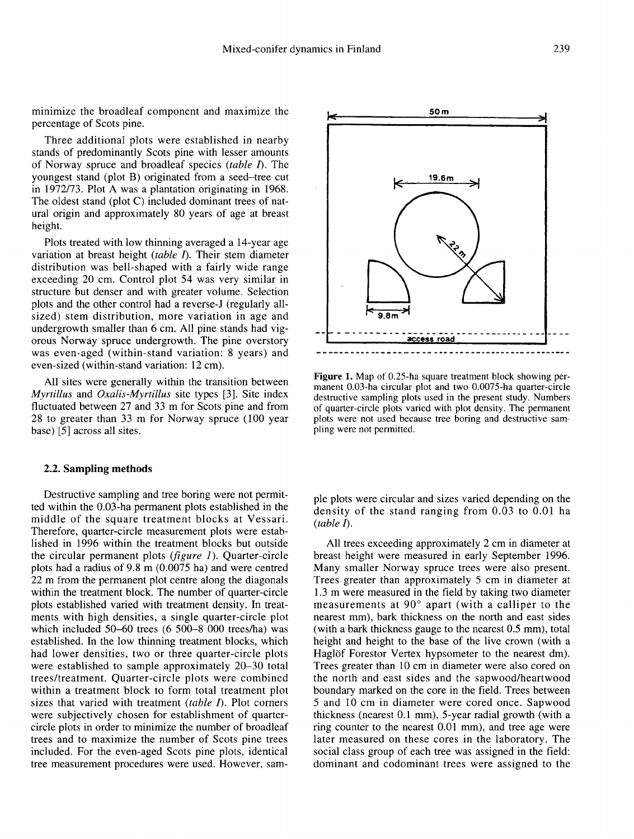minimize the broadleaf component and maximize the percentage of Scots pine.

Three additional plots were established in nearby stands of predominantly Scots pine with lesser amounts of Norway spruce and broadleaf species  $(table I)$ . The youngest stand (plot B) originated from a seed-tree cut in 1972/73. Plot A was a plantation originating in 1968. The oldest stand (plot C) included dominant trees of natural origin and approximately 80 years of age at breast height.

Plots treated with low thinning averaged a 14-year age variation at breast height  $(table I)$ . Their stem diameter distribution was bell-shaped with a fairly wide range exceeding 20 cm. Control plot 54 was very similar in structure but denser and with greater volume. Selection plots and the other control had a reverse-J (regularly allsized) stem distribution, more variation in age and undergrowth smaller than 6 cm. All pine stands had vig orous Norway spruce undergrowth. The pine overstory was even-aged (within-stand variation: 8 years) and even-sized (within-stand variation: 12 cm).

All sites were generally within the transition between Myrtillus and Oxalis-Myrtillus site types [3]. Site index fluctuated between 27 and 33 m for Scots pine and from 28 to greater than 33 m for Norway spruce (100 year base) [5] across all sites.

#### 2.2. Sampling methods

Destructive sampling and tree boring were not permitted within the 0.03-ha permanent plots established in the middle of the square treatment blocks at Vessari. Therefore, quarter-circle measurement plots were established in 1996 within the treatment blocks but outside the circular permanent plots  $(figure 1)$ . Quarter-circle plots had a radius of 9.8 m (0.0075 ha) and were centred 22 m from the permanent plot centre along the diagonals within the treatment block. The number of quarter-circle plots established varied with treatment density. In treatments with high densities, a single quarter-circle plot which included 50-60 trees (6 500-8 000 trees/ha) was established. In the low thinning treatment blocks, which had lower densities, two or three quarter-circle plots were established to sample approximately 20-30 total trees/treatment. Quarter-circle plots were combined within a treatment block to form total treatment plot sizes that varied with treatment  $(table I)$ . Plot corners were subjectively chosen for establishment of quartercircle plots in order to minimize the number of broadleaf trees and to maximize the number of Scots pine trees included. For the even-aged Scots pine plots, identical tree measurement procedures were used. However, sam-



Figure 1. Map of 0.25-ha square treatment block showing permanent 0.03-ha circular plot and two 0.0075-ha quarter-circle destructive sampling plots used in the present study. Numbers of quarter-circle plots varied with plot density. The permanent plots were not used because tree boring and destructive sampling were not permitted.

ple plots were circular and sizes varied depending on the density of the stand ranging from 0.03 to 0.01 ha  $(table \Lambda)$ .

All trees exceeding approximately 2 cm in diameter at breast height were measured in early September 1996. Many smaller Norway spruce trees were also present. Trees greater than approximately 5 cm in diameter at 1.3 m were measured in the field by taking two diameter measurements at 90° apart (with a calliper to the nearest mm), bark thickness on the north and east sides (with a bark thickness gauge to the nearest 0.5 mm), total height and height to the base of the live crown (with a Haglöf Forestor Vertex hypsometer to the nearest dm). Trees greater than 10 cm in diameter were also cored on the north and east sides and the sapwood/heartwood boundary marked on the core in the field. Trees between 5 and 10 cm in diameter were cored once. Sapwood thickness (nearest 0.1 mm), 5-year radial growth (with a ring counter to the nearest 0.01 mm), and tree age were later measured on these cores in the laboratory. The social class group of each tree was assigned in the field: dominant and codominant trees were assigned to the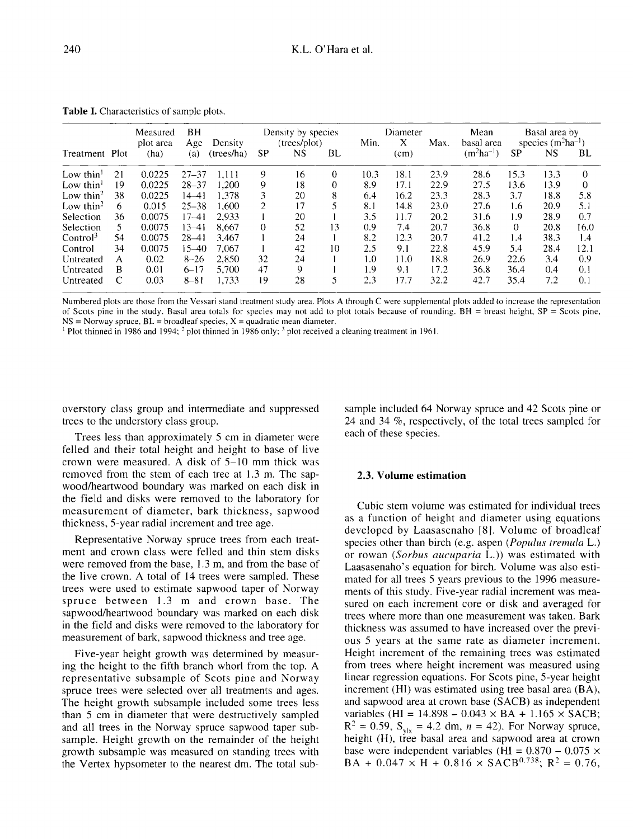|                       |    | Measured<br>plot area | ВH<br>Age | Density    | Density by species<br>(trees/plot) |    |          | Diameter<br>X<br>Min. |      | Max. | Mean<br>basal area | Basal area by<br>species $(m^2ha^{-1})$ |      |          |
|-----------------------|----|-----------------------|-----------|------------|------------------------------------|----|----------|-----------------------|------|------|--------------------|-----------------------------------------|------|----------|
| Treatment Plot        |    | (ha)                  | (a)       | (trees/ha) | SP                                 | NS | BL       |                       | (cm) |      | $(m^2ha^{-1})$     | <b>SP</b>                               | NS   | BL       |
| Low thin $1$          | 21 | 0.0225                | $27 - 37$ | 1.111      | 9                                  | 16 | $\theta$ | 10.3                  | 18.1 | 23.9 | 28.6               | 15.3                                    | 13.3 | $\Omega$ |
| Low thin $1$          | 19 | 0.0225                | $28 - 37$ | 1.200      | 9                                  | 18 | 0        | 8.9                   | 17.1 | 22.9 | 27.5               | 13.6                                    | 13.9 | 0        |
| Low thin <sup>2</sup> | 38 | 0.0225                | $14 - 41$ | 1.378      | 3                                  | 20 | 8        | 6.4                   | 16.2 | 23.3 | 28.3               | 3.7                                     | 18.8 | 5.8      |
| Low thin <sup>2</sup> | 6  | 0.015                 | $25 - 38$ | 1.600      | $\overline{2}$                     | 17 | 5        | 8.1                   | 14.8 | 23.0 | 27.6               | 1.6                                     | 20.9 | 5.1      |
| Selection             | 36 | 0.0075                | $17 - 41$ | 2.933      |                                    | 20 |          | 3.5                   | 11.7 | 20.2 | 31.6               | 1.9                                     | 28.9 | 0.7      |
| Selection             | 5. | 0.0075                | $13 - 41$ | 8.667      | $\Omega$                           | 52 | 13       | 0.9                   | 7.4  | 20.7 | 36.8               | $\Omega$                                | 20.8 | 16.0     |
| Control <sup>3</sup>  | 54 | 0.0075                | $28 - 41$ | 3.467      |                                    | 24 |          | 8.2                   | 12.3 | 20.7 | 41.2               | 1.4                                     | 38.3 | 1.4      |
| Control               | 34 | 0.0075                | 15–40     | 7.067      |                                    | 42 | 10       | 2.5                   | 9.1  | 22.8 | 45.9               | 5.4                                     | 28.4 | 12.1     |
| Untreated             | A  | 0.02                  | $8 - 26$  | 2.850      | 32                                 | 24 |          | 1.0                   | 11.0 | 18.8 | 26.9               | 22.6                                    | 3.4  | 0.9      |
| Untreated             | В  | 0.01                  | $6 - 17$  | 5.700      | 47                                 | 9  |          | 1.9                   | 9.1  | 17.2 | 36.8               | 36.4                                    | 0.4  | 0.1      |
| Untreated             | C  | 0.03                  | $8 - 81$  | 1.733      | 19                                 | 28 | 5        | 2.3                   | 17.7 | 32.2 | 42.7               | 35.4                                    | 7.2  | 0.1      |

Table I. Characteristics of sample plots.

Numbered plots are those from the Vessari stand treatment study area. Plots A through C were supplemental plots added to increase the representation of Scots pine in the study. Basal area totals for species may not add to plot totals because of rounding. BH = breast height,  $SP =$  Scots pine,  $NS =$  Norway spruce,  $BL =$  broadleaf species,  $X =$  quadratic mean diameter.

<sup>1</sup> Plot thinned in 1986 and 1994;  $^2$  plot thinned in 1986 only;  $^3$  plot received a cleaning treatment in 1961.

overstory class group and intermediate and suppressed trees to the understory class group.

Trees less than approximately 5 cm in diameter were felled and their total height and height to base of live crown were measured. A disk of 5-10 mm thick was removed from the stem of each tree at 1.3 m. The sapwood/heartwood boundary was marked on each disk in the field and disks were removed to the laboratory for measurement of diameter, bark thickness, sapwood thickness, 5-year radial increment and tree age.

Representative Norway spruce trees from each treatment and crown class were felled and thin stem disks were removed from the base, 1.3 m, and from the base of the live crown. A total of 14 trees were sampled. These trees were used to estimate sapwood taper of Norway spruce between 1.3 m and crown base. The sapwood/heartwood boundary was marked on each disk in the field and disks were removed to the laboratory for measurement of bark, sapwood thickness and tree age.

Five-year height growth was determined by measuring the height to the fifth branch whorl from the top. A representative subsample of Scots pine and Norway spruce trees were selected over all treatments and ages. The height growth subsample included some trees less than 5 cm in diameter that were destructively sampled and all trees in the Norway spruce sapwood taper subsample. Height growth on the remainder of the height growth subsample was measured on standing trees with the Vertex hypsometer to the nearest dm. The total subsample included 64 Norway spruce and 42 Scots pine or 24 and 34 %, respectively, of the total trees sampled for each of these species.

#### 2.3. Volume estimation

Cubic stem volume was estimated for individual trees as a function of height and diameter using equations developed by Laasasenaho [8]. Volume of broadleaf species other than birch (e.g. aspen (*Populus tremula L.*) or rowan (Sorbus aucuparia L.)) was estimated with Laasasenaho's equation for birch. Volume was also estimated for all trees 5 years previous to the 1996 measurements of this study. Five-year radial increment was measured on each increment core or disk and averaged for trees where more than one measurement was taken. Bark thickness was assumed to have increased over the previ ous 5 years at the same rate as diameter increment. Height increment of the remaining trees was estimated from trees where height increment was measured using linear regression equations. For Scots pine, 5-year height increment (HI) was estimated using tree basal area (BA), and sapwood area at crown base (SACB) as independent variables (HI =  $14.898 - 0.043 \times BA + 1.165 \times SACB$ ;  $R^2 = 0.59$ ,  $S_{\text{vlx}} = 4.2$  dm,  $n = 42$ ). For Norway spruce, height (H), tree basal area and sapwood area at crown base were independent variables (HI =  $0.870 - 0.075 \times$ <br>BA +  $0.047 \times$  H +  $0.816 \times$  SACB<sup>0.738</sup>; R<sup>2</sup> = 0.76. and sapwood area at crown base (SACB) as independent<br>variables (HI = 14.898 – 0.043 × BA + 1.165 × SACB;<br> $R^2 = 0.59$ ,  $S_{y|x} = 4.2$  dm,  $n = 42$ ). For Norway spruce,<br>height (H), tree basal area and sapwood area at crown<br>bas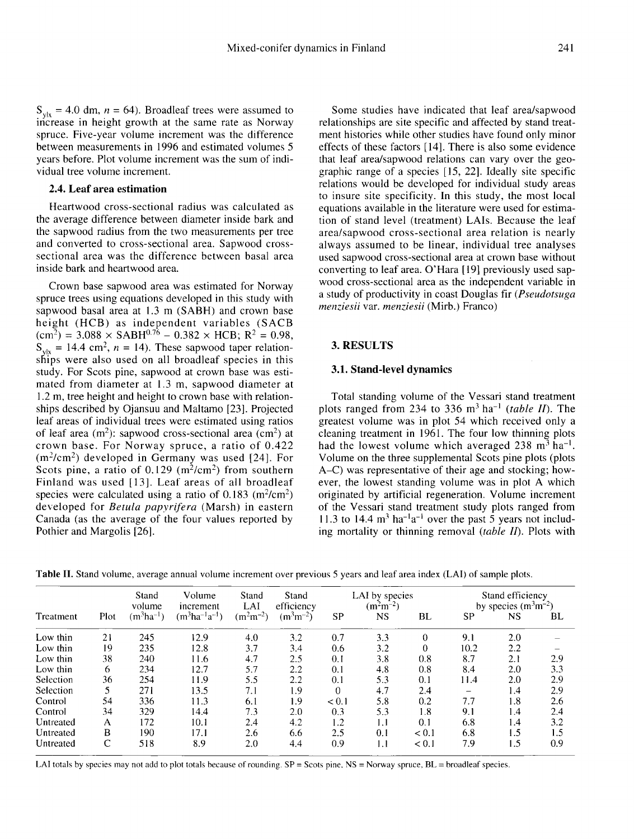$S_{\text{vlx}} = 4.0$  dm,  $n = 64$ ). Broadleaf trees were assumed to increase in height growth at the same rate as Norway spruce. Five-year volume increment was the difference between measurements in 1996 and estimated volumes 5 years before. Plot volume increment was the sum of individual tree volume increment.

# 2.4. Leaf area estimation

Heartwood cross-sectional radius was calculated as the average difference between diameter inside bark and the sapwood radius from the two measurements per tree and converted to cross-sectional area. Sapwood crosssectional area was the difference between basal area inside bark and heartwood area.

Crown base sapwood area was estimated for Norway spruce trees using equations developed in this study with sapwood basal area at 1.3 m (SABH) and crown base height (HCB) as independent variables (SACB sapwood basal area at 1.3 m (SABH) and crown base<br>height (HCB) as independent variables (SACB)<br> $(\text{cm}^2) = 3.088 \times \text{SABH}^{0.76} - 0.382 \times \text{HCB}$ ; R<sup>2</sup> = 0.98,<br>S<sub>1</sub> - 14.4 cm<sup>2</sup> n - 14). These sapwood taper relation  $S_{\rm S}$  = 14.4 cm<sup>2</sup>, n = 14). These sapwood taper relation-<br> $S_{\rm y|x}$  = 14.4 cm<sup>2</sup>, n = 14). These sapwood taper relationships were also used on all broadleaf species in this study. For Scots pine, sapwood at crown base was estimated from diameter at 1.3 m, sapwood diameter at 1.2 m, tree height and height to crown base with relationships described by Ojansuu and Maltamo [23]. Projected leaf areas of individual trees were estimated using ratios ships described by Ojansuu and Maltamo [23]. Projected<br>leaf areas of individual trees were estimated using ratios<br>of leaf area (m<sup>2</sup>): sapwood cross-sectional area (cm<sup>2</sup>) at<br>crown base. For Norway spruce, a ratio of 0.42 crown base. For Norway spruce, a ratio of 0.422 dear areas or individual trees were estimated using ratios<br>of leaf area (m<sup>2</sup>): sapwood cross-sectional area (cm<sup>2</sup>) at<br>crown base. For Norway spruce, a ratio of 0.422<br>(m<sup>2</sup>/cm<sup>2</sup>) developed in Germany was used [24]. For<br> Finland was used [13]. Leaf areas of all broadleaf (m<sup>2</sup>/cm<sup>2</sup>) developed in Germany was used [24]. For<br>Scots pine, a ratio of 0.129 (m<sup>2</sup>/cm<sup>2</sup>) from southern<br>Finland was used [13]. Leaf areas of all broadleaf<br>species were calculated using a ratio of 0.183 (m<sup>2</sup>/cm<sup>2</sup>)<br>d developed for Betula papyrifera (Marsh) in eastern Canada (as the average of the four values reported by Pothier and Margolis [26].

Some studies have indicated that leaf area/sapwood relationships are site specific and affected by stand treatment histories while other studies have found only minor effects of these factors [14]. There is also some evidence that leaf area/sapwood relations can vary over the geographic range of a species [15, 22]. Ideally site specific relations would be developed for individual study areas to insure site specificity. In this study, the most local equations available in the literature were used for estimation of stand level (treatment) LAIs. Because the leaf area/sapwood cross-sectional area relation is nearly always assumed to be linear, individual tree analyses used sapwood cross-sectional area at crown base without converting to leaf area. O'Hara [19] previously used sapwood cross-sectional area as the independent variable in a study of productivity in coast Douglas fir (Pseudotsuga menziesii var. menziesii (Mirb.) Franco)

# 3. RESULTS

#### 3.1. Stand-level dynamics

Total standing volume of the Vessari stand treatment plots ranged from 234 to 336  $m^3$  ha<sup>-1</sup> (table II). The greatest volume was in plot 54 which received only a cleaning treatment in 1961. The four low thinning plots had the lowest volume which averaged  $238 \text{ m}^3 \text{ ha}^{-1}$ . plots ranged from 234 to 336 m<sup>3</sup> ha<sup>-1</sup> (table *II*). The greatest volume was in plot 54 which received only a cleaning treatment in 1961. The four low thinning plots had the lowest volume which averaged 238 m<sup>3</sup> ha<sup>-1</sup>. Volume on the three supplemental Scots pine plots (plots A-C) was representative of their age and stocking; however, the lowest standing volume was in plot A which originated by artificial regeneration. Volume increment of the Vessari stand treatment study plots ranged from 11.3 to 14.4  $\text{m}^3$  ha<sup>-1</sup>a<sup>-1</sup> over the past 5 years not including mortality or thinning removal *(table II)*. Plots with

Table II. Stand volume, average annual volume increment over previous 5 years and leaf area index (LAI) of sample plots.

|           |              | Stand<br>volume | Volume<br>increment  | Stand<br>LAI  | <b>Stand</b><br>efficiency |           | LAI by species<br>$(m2m-2)$ |          | Stand efficiency<br>by species $(m^3m^{-2})$ |           |     |
|-----------|--------------|-----------------|----------------------|---------------|----------------------------|-----------|-----------------------------|----------|----------------------------------------------|-----------|-----|
| Treatment | Plot         | $(m^3ha^{-1})$  | $(m^3ha^{-1}a^{-1})$ | $(m^2m^{-2})$ | $(m^3m^{-2})$              | <b>SP</b> | <b>NS</b>                   | BL       | SP                                           | <b>NS</b> | BL  |
| Low thin  | 21           | 245             | 12.9                 | 4.0           | 3.2                        | 0.7       | 3.3                         | $\theta$ | 9.1                                          | 2.0       |     |
| Low thin  | 19           | 235             | 12.8                 | 3.7           | 3.4                        | 0.6       | 3.2                         | 0        | 10.2                                         | 2.2       |     |
| Low thin  | 38           | 240             | 11.6                 | 4.7           | 2.5                        | 0.1       | 3.8                         | 0.8      | 8.7                                          | 2.1       | 2.9 |
| Low thin  | 6            | 234             | 12.7                 | 5.7           | 2.2                        | 0.1       | 4.8                         | 0.8      | 8.4                                          | 2.0       | 3.3 |
| Selection | 36           | 254             | 11.9                 | 5.5           | 2.2                        | 0.1       | 5.3                         | 0.1      | 11.4                                         | 2.0       | 2.9 |
| Selection | 5            | 271             | 13.5                 | 7.1           | 1.9                        | $\theta$  | 4.7                         | 2.4      |                                              | 1.4       | 2.9 |
| Control   | 54           | 336             | 11.3                 | 6.1           | 1.9                        | < 0.1     | 5.8                         | 0.2      | 7.7                                          | 1.8       | 2.6 |
| Control   | 34           | 329             | 14.4                 | 7.3           | 2.0                        | 0.3       | 5.3                         | 1.8      | 9.1                                          | 1.4       | 2.4 |
| Untreated | A            | 172             | 10.1                 | 2.4           | 4.2                        | 1.2       | 1.1                         | 0.1      | 6.8                                          | 1.4       | 3.2 |
| Untreated | B            | 190             | 17.1                 | 2.6           | 6.6                        | 2.5       | 0.1                         | < 0.1    | 6.8                                          | 1.5       | 1.5 |
| Untreated | $\mathsf{C}$ | 518             | 8.9                  | 2.0           | 4.4                        | 0.9       | 1.1                         | < 0.1    | 7.9                                          | 1.5       | 0.9 |

LAI totals by species may not add to plot totals because of rounding. SP = Scots pine, NS = Norway spruce, BL = broadleaf species.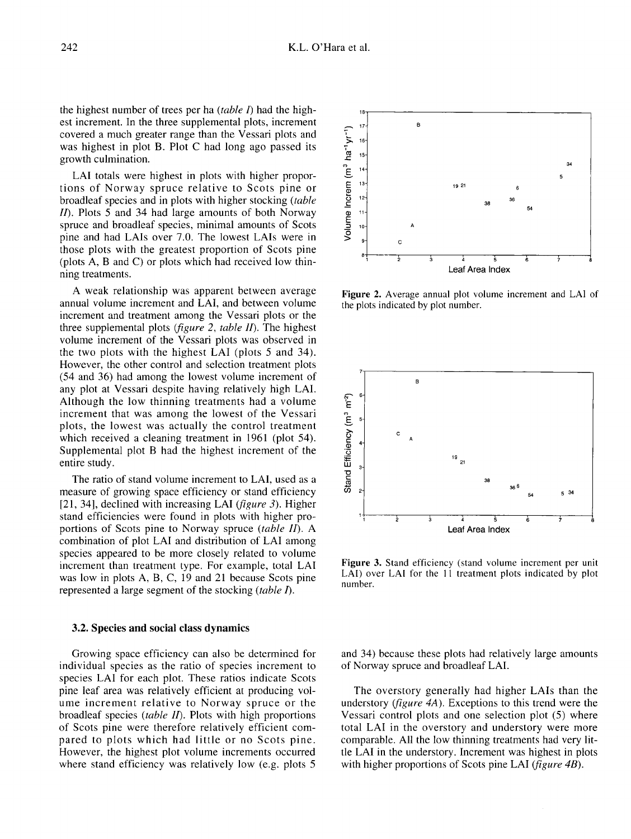the highest number of trees per ha (table I) had the highest increment. In the three supplemental plots, increment covered a much greater range than the Vessari plots and was highest in plot B. Plot C had long ago passed its growth culmination.

LAI totals were highest in plots with higher proportions of Norway spruce relative to Scots pine or broadleaf species and in plots with higher stocking (table II). Plots 5 and 34 had large amounts of both Norway spruce and broadleaf species, minimal amounts of Scots pine and had LAIs over 7.0. The lowest LAIs were in those plots with the greatest proportion of Scots pine (plots A, B and C) or plots which had received low thinning treatments.

A weak relationship was apparent between average annual volume increment and LAI, and between volume increment and treatment among the Vessari plots or the three supplemental plots (figure 2, table II). The highest volume increment of the Vessari plots was observed in the two plots with the highest LAI (plots 5 and 34). However, the other control and selection treatment plots (54 and 36) had among the lowest volume increment of any plot at Vessari despite having relatively high LAI. Although the low thinning treatments had a volume increment that was among the lowest of the Vessari plots, the lowest was actually the control treatment which received a cleaning treatment in 1961 (plot 54). Supplemental plot B had the highest increment of the entire study.

The ratio of stand volume increment to LAI, used as a measure of growing space efficiency or stand efficiency [21, 34], declined with increasing LAI (*figure 3*). Higher stand efficiencies were found in plots with higher proportions of Scots pine to Norway spruce (table II). A combination of plot LAI and distribution of LAI among species appeared to be more closely related to volume increment than treatment type. For example, total LAI was low in plots A, B, C, 19 and 21 because Scots pine represented a large segment of the stocking (table I).

#### 3.2. Species and social class dynamics

Growing space efficiency can also be determined for individual species as the ratio of species increment to species LAI for each plot. These ratios indicate Scots pine leaf area was relatively efficient at producing volume increment relative to Norway spruce or the broadleaf species (table II). Plots with high proportions of Scots pine were therefore relatively efficient compared to plots which had little or no Scots pine. However, the highest plot volume increments occurred where stand efficiency was relatively low (e.g. plots 5)



Figure 2. Average annual plot volume increment and LAI of the plots indicated by plot number.



Figure 3. Stand efficiency (stand volume increment per unit LAI) over LAI for the 11 treatment plots indicated by plot number.

and 34) because these plots had relatively large amounts of Norway spruce and broadleaf LAI.

The overstory generally had higher LAIs than the understory (*figure 4A*). Exceptions to this trend were the Vessari control plots and one selection plot (5) where total LAI in the overstory and understory were more comparable. All the low thinning treatments had very little LAI in the understory. Increment was highest in plots with higher proportions of Scots pine LAI (*figure 4B*).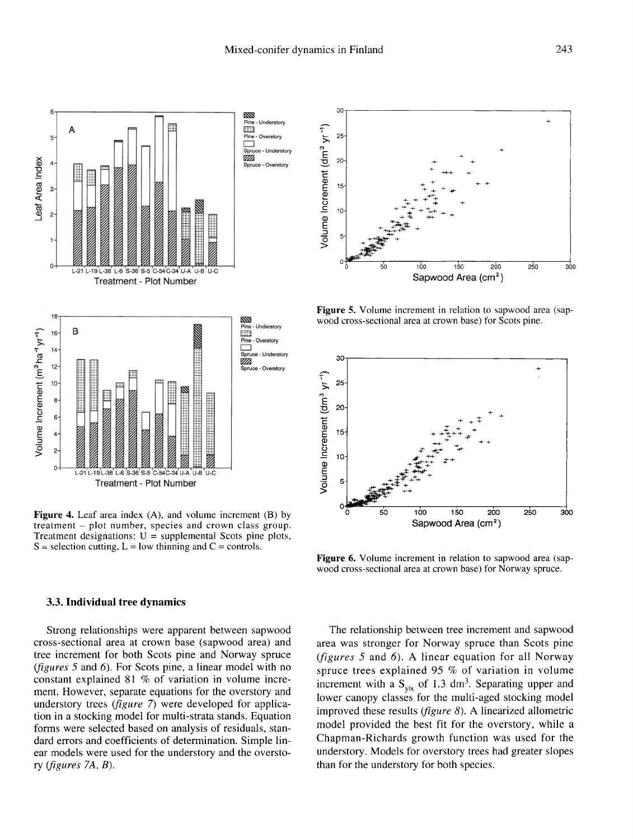

Figure 4. Leaf area index (A), and volume increment (B) by treatment – plot number, species and crown class group. Treatment designations:  $U =$  supplemental Scots pine plots,  $S =$  selection cutting,  $L =$  low thinning and  $C =$  controls.

#### 3.3. Individual tree dynamics

Strong relationships were apparent between sapwood cross-sectional area at crown base (sapwood area) and tree increment for both Scots pine and Norway spruce (figures 5 and 6). For Scots pine, a linear model with no constant explained 81 % of variation in volume increment. However, separate equations for the overstory and understory trees (*figure 7*) were developed for application in a stocking model for multi-strata stands. Equation forms were selected based on analysis of residuals, standard errors and coefficients of determination. Simple linear models were used for the understory and the overstory (figures 7A, B).



Figure 5. Volume increment in relation to sapwood area (sapwood cross-sectional area at crown base) for Scots pine.



Figure 6. Volume increment in relation to sapwood area (sapwood cross-sectional area at crown base) for Norway spruce.

The relationship between tree increment and sapwood area was stronger for Norway spruce than Scots pine (figures 5 and 6). A linear equation for all Norway spruce trees explained 95 % of variation in volume increment with a  $S_{v|x}$  of 1.3 dm<sup>3</sup>. Separating upper and lower canopy classes for the multi-aged stocking model improved these results (figure 8). A linearized allometric model provided the best fit for the overstory, while a Chapman-Richards growth function was used for the understory. Models for overstory trees had greater slopes than for the understory for both species.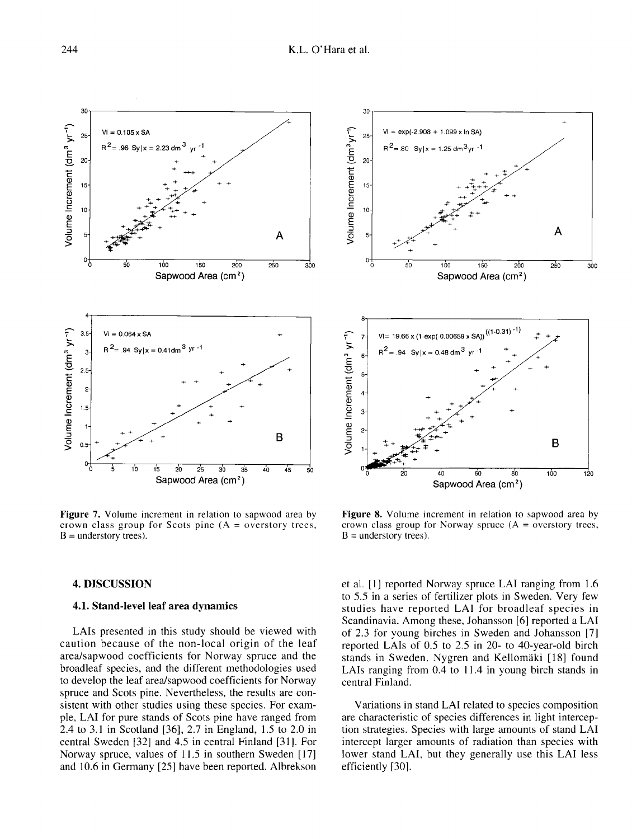

Figure 7. Volume increment in relation to sapwood area by crown class group for Scots pine  $(A =$  overstory trees,  $B =$  understory trees).



Figure 8. Volume increment in relation to sapwood area by crown class group for Norway spruce  $(A =$  overstory trees,  $B =$  understory trees).

#### 4. DISCUSSION

# 4.1. Stand-level leaf area dynamics

LAIs presented in this study should be viewed with caution because of the non-local origin of the leaf area/sapwood coefficients for Norway spruce and the broadleaf species, and the different methodologies used to develop the leaf area/sapwood coefficients for Norway spruce and Scots pine. Nevertheless, the results are consistent with other studies using these species. For example, LAI for pure stands of Scots pine have ranged from 2.4 to 3.1 in Scotland [36], 2.7 in England, 1.5 to 2.0 in central Sweden [32] and 4.5 in central Finland [31]. For Norway spruce, values of 11.5 in southern Sweden [17] and 10.6 in Germany [25] have been reported. Albrekson

et al. [1] reported Norway spruce LAI ranging from 1.6 to 5.5 in a series of fertilizer plots in Sweden. Very few studies have reported LAI for broadleaf species in Scandinavia. Among these, Johansson [6] reported a LAI of 2.3 for young birches in Sweden and Johansson [7] reported LAIs of 0.5 to 2.5 in 20- to 40-year-old birch stands in Sweden. Nygren and Kellomäki [18] found LAIs ranging from 0.4 to 11.4 in young birch stands in central Finland.

Variations in stand LAI related to species composition are characteristic of species differences in light interception strategies. Species with large amounts of stand LAI intercept larger amounts of radiation than species with lower stand LAI, but they generally use this LAI less efficiently [30].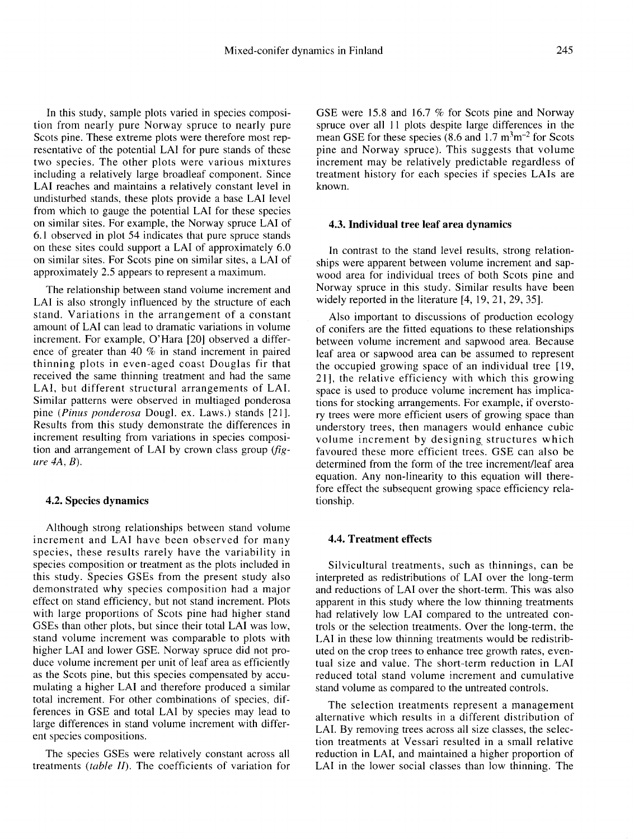In this study, sample plots varied in species composition from nearly pure Norway spruce to nearly pure Scots pine. These extreme plots were therefore most representative of the potential LAI for pure stands of these two species. The other plots were various mixtures including a relatively large broadleaf component. Since LAI reaches and maintains a relatively constant level in undisturbed stands, these plots provide a base LAI level from which to gauge the potential LAI for these species on similar sites. For example, the Norway spruce LAI of 6.1 observed in plot 54 indicates that pure spruce stands on these sites could support a LAI of approximately 6.0 on similar sites. For Scots pine on similar sites, a LAI of approximately 2.5 appears to represent a maximum.

The relationship between stand volume increment and LAI is also strongly influenced by the structure of each stand. Variations in the arrangement of a constant amount of LAI can lead to dramatic variations in volume increment. For example, O'Hara [20] observed a difference of greater than 40 % in stand increment in paired thinning plots in even-aged coast Douglas fir that received the same thinning treatment and had the same LAI, but different structural arrangements of LAI. Similar patterns were observed in multiaged ponderosa pine (Pinus ponderosa Dougl. ex. Laws.) stands [21]. Results from this study demonstrate the differences in increment resulting from variations in species composition and arrangement of LAI by crown class group (fig ure 4A, B).

#### 4.2. Species dynamics

Although strong relationships between stand volume increment and LAI have been observed for many species, these results rarely have the variability in species composition or treatment as the plots included in this study. Species GSEs from the present study also demonstrated why species composition had a major effect on stand efficiency, but not stand increment. Plots with large proportions of Scots pine had higher stand GSEs than other plots, but since their total LAI was low, stand volume increment was comparable to plots with higher LAI and lower GSE. Norway spruce did not produce volume increment per unit of leaf area as efficiently as the Scots pine, but this species compensated by accumulating a higher LAI and therefore produced a similar total increment. For other combinations of species, differences in GSE and total LAI by species may lead to large differences in stand volume increment with different species compositions.

The species GSEs were relatively constant across all treatments (table II). The coefficients of variation for

GSE were 15.8 and 16.7 % for Scots pine and Norway<br>spruce over all 11 plots despite large differences in the<br>mean GSE for these species (8.6 and  $1.7 \text{ m}^3 \text{m}^{-2}$  for Scots<br>nine and Norway spruce). This suggests that v spruce over all 11 plots despite large differences in the mean GSE for these species  $(8.6 \text{ and } 1.7 \text{ m}^3 \text{m}^{-2}$  for Scots pine and Norway spruce). This suggests that volume increment may be relatively predictable regardless of treatment history for each species if species LAIs are known.

#### 4.3. Individual tree leaf area dynamics

In contrast to the stand level results, strong relationships were apparent between volume increment and sapwood area for individual trees of both Scots pine and Norway spruce in this study. Similar results have been widely reported in the literature [4, 19, 21, 29, 35].

Also important to discussions of production ecology of conifers are the fitted equations to these relationships between volume increment and sapwood area. Because leaf area or sapwood area can be assumed to represent the occupied growing space of an individual tree [19, 21 ], the relative efficiency with which this growing space is used to produce volume increment has implications for stocking arrangements. For example, if overstory trees were more efficient users of growing space than understory trees, then managers would enhance cubic volume increment by designing structures which favoured these more efficient trees. GSE can also be determined from the form of the tree increment/leaf area equation. Any non-linearity to this equation will therefore effect the subsequent growing space efficiency relationship.

# 4.4. Treatment effects

Silvicultural treatments, such as thinnings, can be interpreted as redistributions of LAI over the long-term and reductions of LAI over the short-term. This was also apparent in this study where the low thinning treatments had relatively low LAI compared to the untreated controls or the selection treatments. Over the long-term, the LAI in these low thinning treatments would be redistributed on the crop trees to enhance tree growth rates, eventual size and value. The short-term reduction in LAI reduced total stand volume increment and cumulative stand volume as compared to the untreated controls.

The selection treatments represent a management alternative which results in a different distribution of LAI. By removing trees across all size classes, the selection treatments at Vessari resulted in a small relative reduction in LAI, and maintained a higher proportion of LAI in the lower social classes than low thinning. The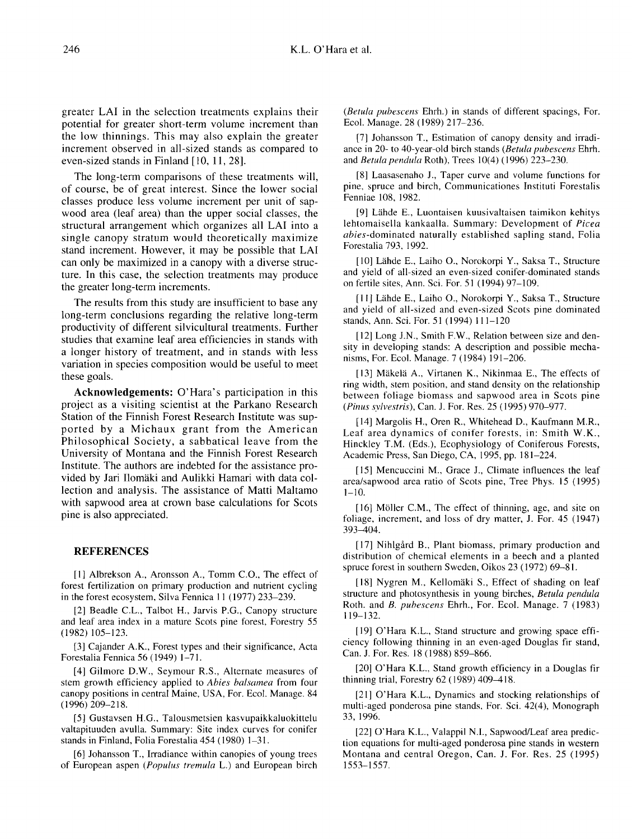greater LAI in the selection treatments explains their potential for greater short-term volume increment than the low thinnings. This may also explain the greater increment observed in all-sized stands as compared to even-sized stands in Finland [10, 11, 28].

The long-term comparisons of these treatments will, of course, be of great interest. Since the lower social classes produce less volume increment per unit of sapwood area (leaf area) than the upper social classes, the structural arrangement which organizes all LAI into a single canopy stratum would theoretically maximize stand increment. However, it may be possible that LAI can only be maximized in a canopy with a diverse structure. In this case, the selection treatments may produce the greater long-term increments.

The results from this study are insufficient to base any long-term conclusions regarding the relative long-term productivity of different silvicultural treatments. Further studies that examine leaf area efficiencies in stands with a longer history of treatment, and in stands with less variation in species composition would be useful to meet these goals.

Acknowledgements: O'Hara's participation in this project as a visiting scientist at the Parkano Research Station of the Finnish Forest Research Institute was supported by a Michaux grant from the American Philosophical Society, a sabbatical leave from the University of Montana and the Finnish Forest Research Institute. The authors are indebted for the assistance provided by Jari Ilomäki and Aulikki Hamari with data collection and analysis. The assistance of Matti Maltamo with sapwood area at crown base calculations for Scots pine is also appreciated.

# **REFERENCES**

[1] Albrekson A., Aronsson A., Tomm C.O., The effect of forest fertilization on primary production and nutrient cycling in the forest ecosystem, Silva Fennica 11 (1977) 233–239.

[2] Beadle C.L., Talbot H., Jarvis P.G., Canopy structure and leaf area index in a mature Scots pine forest, Forestry 55 (1982) 105-123.

[3] Cajander A.K., Forest types and their significance, Acta Forestalia Fennica 56 (1949) 1-71.

[4] Gilmore D.W., Seymour R.S., Alternate measures of stem growth efficiency applied to Abies balsamea from four canopy positions in central Maine, USA, For. Ecol. Manage. 84 (1996) 209-218.

[5] Gustavsen H.G., Talousmetsien kasvupaikkaluokittelu valtapituuden avulla. Summary: Site index curves for conifer stands in Finland, Folia Forestalia 454 (1980) 1-31.

[6] Johansson T., Irradiance within canopies of young trees of European aspen (Populus tremula L.) and European birch (Betula pubescens Ehrh.) in stands of different spacings, For. Ecol. Manage. 28 (1989) 217-236.

[7] Johansson T., Estimation of canopy density and irradiance in 20- to 40-year-old birch stands (Betula pubescens Ehrh. and Betula pendula Roth), Trees 10(4) (1996) 223-230.

[8] Laasasenaho J., Taper curve and volume functions for pine, spruce and birch, Communicationes Instituti Forestalis Fenniae 108, 1982.

[9] Lähde E., Luontaisen kuusivaltaisen taimikon kehitys lehtomaisella kankaalla. Summary: Development of Picea abies-dominated naturally established sapling stand, Folia Forestalia 793, 1992.

[10] Lähde E., Laiho O., Norokorpi Y., Saksa T., Structure and yield of all-sized an even-sized conifer-dominated stands on fertile sites, Ann. Sci. For. 51 (1994) 97-109.

[11] Lähde E., Laiho O., Norokorpi Y., Saksa T., Structure and yield of all-sized and even-sized Scots pine dominated stands, Ann. Sci. For. 51 (1994) 111-120

[12] Long J.N., Smith F.W., Relation between size and density in developing stands: A description and possible mechanisms, For. Ecol. Manage. 7 (1984) 191-206.

[13] Mäkelä A., Virtanen K., Nikinmaa E., The effects of ring width, stem position, and stand density on the relationship between foliage biomass and sapwood area in Scots pine (Pinus sylvestris), Can. J. For. Res. 25 (1995) 970-977.

[14] Margolis H., Oren R., Whitehead D., Kaufmann M.R., Leaf area dynamics of conifer forests, in: Smith W.K., Hinckley T.M. (Eds.), Ecophysiology of Coniferous Forests, Academic Press, San Diego, CA, 1995, pp. 181-224.

[15] Mencuccini M., Grace J., Climate influences the leaf area/sapwood area ratio of Scots pine, Tree Phys. 15 (1995)  $1 - 10.$ 

[16] Möller C.M., The effect of thinning, age, and site on foliage, increment, and loss of dry matter, J. For. 45 (1947) 393-404.

[17] Nihlgård B., Plant biomass, primary production and distribution of chemical elements in a beech and a planted spruce forest in southern Sweden, Oikos 23 (1972) 69-81.

[18] Nygren M., Kellomäki S., Effect of shading on leaf structure and photosynthesis in young birches, Betula pendula Roth. and B. pubescens Ehrh., For. Ecol. Manage. 7 (1983) 119-132.

[19] O'Hara K.L., Stand structure and growing space efficiency following thinning in an even-aged Douglas fir stand, Can. J. For. Res. 18 (1988) 859-866.

[20] O'Hara K.L., Stand growth efficiency in a Douglas fir thinning trial, Forestry 62 (1989) 409-418.

[21] O'Hara K.L., Dynamics and stocking relationships of multi-aged ponderosa pine stands, For. Sci. 42(4), Monograph 33, 1996.

[22] O'Hara K.L., Valappil N.I., Sapwood/Leaf area prediction equations for multi-aged ponderosa pine stands in western Montana and central Oregon, Can. J. For. Res. 25 (1995) 1553-1557.